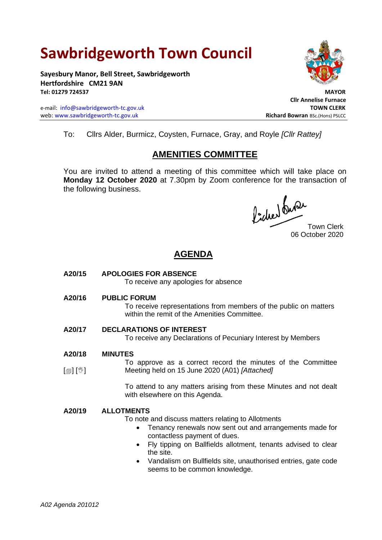# **Sawbridgeworth Town Council**

**Sayesbury Manor, Bell Street, Sawbridgeworth Hertfordshire CM21 9AN Tel: 01279 724537 MAYOR**

e-mail: [info@sawbridgeworth-tc.gov.uk](mailto:info@sawbridgeworth-tc.gov.uk) **TOWN CLERK** web: www.sawbridgeworth-tc.gov.uk<br> **Richard Bowran** BSc.(Hons) PSLCC



 **Cllr Annelise Furnace**

To: Cllrs Alder, Burmicz, Coysten, Furnace, Gray, and Royle *[Cllr Rattey]*

# **AMENITIES COMMITTEE**

You are invited to attend a meeting of this committee which will take place on **Monday 12 October 2020** at 7.30pm by Zoom conference for the transaction of the following business.

focher du Provo<br>Town Clerk

06 October 2020

# **AGENDA**

**A20/15 APOLOGIES FOR ABSENCE**

To receive any apologies for absence

**A20/16 PUBLIC FORUM**

To receive representations from members of the public on matters within the remit of the Amenities Committee.

### **A20/17 DECLARATIONS OF INTEREST**

To receive any Declarations of Pecuniary Interest by Members

#### **A20/18 MINUTES**

 $\lceil$  [ $\mathbb{I}$ ]  $\lceil \mathbb{I} \rceil$ To approve as a correct record the minutes of the Committee Meeting held on 15 June 2020 (A01) *[Attached]*

> To attend to any matters arising from these Minutes and not dealt with elsewhere on this Agenda.

### **A20/19 ALLOTMENTS**

To note and discuss matters relating to Allotments

- Tenancy renewals now sent out and arrangements made for contactless payment of dues.
- Fly tipping on Ballfields allotment, tenants advised to clear the site.
- Vandalism on Bullfields site, unauthorised entries, gate code seems to be common knowledge.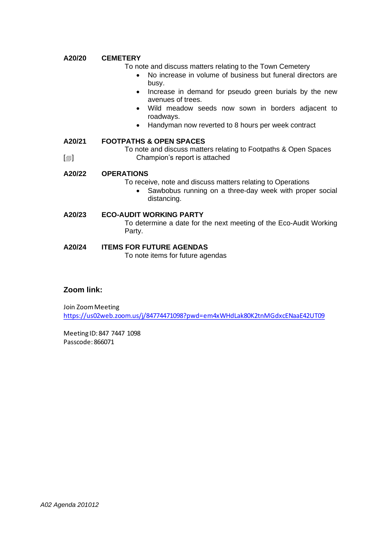### **A20/20 CEMETERY**

To note and discuss matters relating to the Town Cemetery

- No increase in volume of business but funeral directors are busy.
- Increase in demand for pseudo green burials by the new avenues of trees.
- Wild meadow seeds now sown in borders adjacent to roadways.
- Handyman now reverted to 8 hours per week contract

#### **A20/21 FOOTPATHS & OPEN SPACES**

 $[\blacksquare]$ To note and discuss matters relating to Footpaths & Open Spaces Champion's report is attached

### **A20/22 OPERATIONS**

- To receive, note and discuss matters relating to Operations
	- Sawbobus running on a three-day week with proper social distancing.

### **A20/23 ECO-AUDIT WORKING PARTY**

To determine a date for the next meeting of the Eco-Audit Working Party.

### **A20/24 ITEMS FOR FUTURE AGENDAS**

To note items for future agendas

### **Zoom link:**

Join Zoom Meeting https://us02web.zoom.us/j/84774471098?pwd=em4xWHdLak80K2tnMGdxcENaaE42UT09

Meeting ID: 847 7447 1098 Passcode: 866071